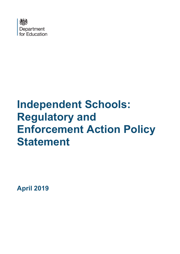

# **Independent Schools: Regulatory and Enforcement Action Policy Statement**

**April 2019**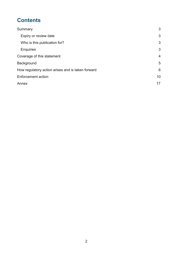# **Contents**

| Summary                                           | 3              |
|---------------------------------------------------|----------------|
| Expiry or review date                             | 3              |
| Who is this publication for?                      | 3              |
| <b>Enquiries</b>                                  | 3              |
| Coverage of this statement                        | $\overline{4}$ |
| Background                                        | 5              |
| How regulatory action arises and is taken forward | 6              |
| <b>Enforcement action</b>                         | 10             |
| Annex                                             | 17             |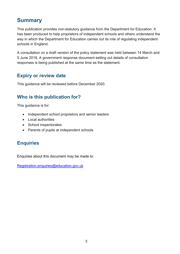# <span id="page-2-0"></span>**Summary**

This publication provides non-statutory guidance from the Department for Education. It has been produced to help proprietors of independent schools and others understand the way in which the Department for Education carries out its role of regulating independent schools in England.

A consultation on a draft version of the policy statement was held between 14 March and 5 June 2018. A government response document setting out details of consultation responses is being published at the same time as the statement.

## <span id="page-2-1"></span>**Expiry or review date**

This guidance will be reviewed before December 2020.

## <span id="page-2-2"></span>**Who is this publication for?**

This guidance is for:

- Independent school proprietors and senior leaders
- Local authorities
- School inspectorates
- Parents of pupils at independent schools

## <span id="page-2-3"></span>**Enquiries**

Enquiries about this document may be made to:

[Registration.enquiries@education.gov.uk](mailto:Registration.enquiries@education.gov.uk)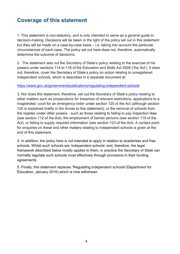# <span id="page-3-0"></span>**Coverage of this statement**

1. This statement is non-statutory, and is only intended to serve as a general guide to decision-making. Decisions will be taken in the light of the policy set out in this statement but they will be made on a case-by-case basis – i.e. taking into account the particular circumstances of each case. The policy set out here does not, therefore, automatically determine the outcome of decisions.

2. The statement sets out the Secretary of State's policy relating to the exercise of his powers under sections 114 to 118 of the Education and Skills Act 2008 ('the Act'). It does not, therefore, cover the Secretary of State's policy on action relating to unregistered independent schools, which is described in a separate document at:

#### <https://www.gov.uk/government/publications/regulating-independent-schools>

3. Nor does this statement, therefore, set out the Secretary of State's policy relating to other matters such as prosecutions for breaches of relevant restrictions, applications to a magistrates' court for an emergency order under section 120 of the Act (although section 120 is explained briefly in the Annex to this statement), or the removal of schools from the register under other powers - such as those relating to failing to pay inspection fees (see section 112 of the Act), the employment of barred persons (see section 119 of the Act), or failing to supply required information (see section 123 of the Act). A contact point for enquiries on these and other matters relating to independent schools is given at the end of this statement.

4. In addition, the policy here is not intended to apply in relation to academies and free schools. Whilst such schools are 'independent schools' and, therefore, the legal framework described below mostly applies to them, in practice the Secretary of State can normally regulate such schools most effectively through provisions in their funding agreements.

5. Finally, this statement replaces "Regulating independent schools"(Department for Education, January 2016) which is now withdrawn*.*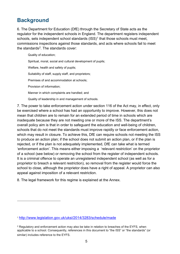# <span id="page-4-0"></span>**Background**

-

6. The Department for Education (DfE) through the Secretary of State acts as the regulator for the independent schools in England. The department registers independent schools, sets independent school standards  $(ISS)^1$  $(ISS)^1$  that those schools must meet, commissions inspections against those standards, and acts where schools fail to meet the standards $2$ . The standards cover:

Quality of education;

Spiritual, moral, social and cultural development of pupils; Welfare, health and safety of pupils; Suitability of staff, supply staff, and proprietors; Premises of and accommodation at schools; Provision of information; Manner in which complaints are handled; and Quality of leadership in and management of schools.

7. The power to take enforcement action under section 116 of the Act may, in effect, only be exercised where a school has had an opportunity to improve. However, this does not mean that children are to remain for an extended period of time in schools which are inadequate because they are not meeting one or more of the ISS. The department's overall policy aim is that in order to safeguard the education and well-being of children, schools that do not meet the standards must improve rapidly or face enforcement action, which may result in closure. To achieve this, DfE can require schools not meeting the ISS to produce an action plan; if the school does not submit an action plan, or if the plan is rejected, or if the plan is not adequately implemented, DfE can take what is termed 'enforcement action'. This means either imposing a 'relevant restriction' on the proprietor of a school (see below) or removing the school from the register of independent schools. It is a criminal offence to operate an unregistered independent school (as well as for a proprietor to breach a relevant restriction), so removal from the register would force the school to close, although the proprietor does have a right of appeal. A proprietor can also appeal against imposition of a relevant restriction.

8. The legal framework for this regime is explained at the Annex.

<span id="page-4-1"></span><sup>1</sup> <http://www.legislation.gov.uk/uksi/2014/3283/schedule/made>

<span id="page-4-2"></span><sup>&</sup>lt;sup>2</sup> Regulatory and enforcement action may also be take in relation to breaches of the EYFS, when applicable to a school. Consequently, references in this document to "the ISS" or "the standards" (or similar) includes reference to the EYFS.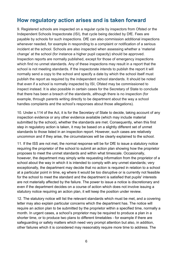## <span id="page-5-0"></span>**How regulatory action arises and is taken forward**

9. Registered schools are inspected on a regular cycle by inspectors from Ofsted or the Independent Schools Inspectorate (ISI), that cycle being decided by DfE. Fees are payable by schools for such inspections. DfE can also commission additional inspections whenever needed, for example in responding to a complaint or notification of a serious incident at the school. Schools are also inspected when assessing whether a 'material change' at the school (for instance a higher pupil capacity) should be approved. Inspection reports are normally published, except for those of emergency inspections which find no unmet standards. Any of these inspections may result in a report that the school is not meeting standards. If the inspectorate intends to publish the report it will normally send a copy to the school and specify a date by which the school itself must publish the report as required by the independent school standards. It should be noted that even if a school is normally inspected by ISI, Ofsted may be commissioned to inspect instead. It is also possible in certain cases for the Secretary of State to conclude that there has been a breach of the standards, although there is no inspection (for example, through parents writing directly to be department about the way a school handles complaints and the school's responses about those allegations).

10. Under s.114 of the Act, it is for the Secretary of State to decide, taking account of any inspection evidence or any other evidence available (which may include material submitted by the school), whether the standards are met. Consequently, when this first step in regulatory action is taken, it may be based on a slightly different set of unmet standards to those listed in an inspection report. However, such cases are relatively uncommon and if they arise, the circumstances will be clearly explained to the school.

11. If the ISS are not met, the normal response will be for DfE to issue a statutory notice requiring the proprietor of the school to submit an action plan showing how the proprietor proposes to meet the unmet standards and within what timescale. Occasionally, however, the department may simply write requesting information from the proprietor of a school about the way in which it is intended to comply with any unmet standards; very exceptionally, the department may decide that no action is required in relation to a school at a particular point in time, eg where it would be too disruptive or is currently not feasible for the school to meet the standard and the department is satisfied that pupils' interests are not materially affected by the failure. The power to issue a notice is discretionary and even if the department decides on a course of action which does not involve issuing a statutory notice requiring an action plan, it will keep the position under review.

12. The statutory notice will list the relevant standards which must be met, and a covering letter may also explain particular concerns which the department has. The notice will require an action plan to be submitted by the proprietor within a specified time, normally a month. In urgent cases, a school's proprietor may be required to produce a plan in a shorter time, or to produce two plans to different timetables - for example if there are safeguarding or safety matters which need very prompt attention but also, in addition, other failures which it is considered may reasonably require more time to address. The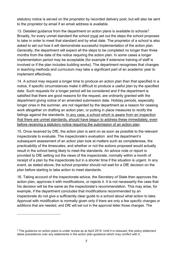statutory notice is served on the proprietor by recorded delivery post, but will also be sent to the proprietor by email if an email address is available.

1[3](#page-6-0). Detailed guidance from the department on action plans is available to schools<sup>3</sup>. Broadly, for every unmet standard the school must set out the steps the school proposes to take in order to meet that standard and by what date. The proprietor of a school is also asked to set out how it will demonstrate successful implementation of the action plan. Generally, the department will expect all the steps to be completed no longer than three months from the date of the notice requiring the action plan. In some cases a longer implementation period may be acceptable (for example if extensive training of staff is involved or if the plan includes building works). The department recognises that changes in teaching methods and curriculum may take a significant part of an academic year to implement effectively.

14. A school may request a longer time to produce an action plan than that specified in a notice, if specific circumstances make it difficult to produce a useful plan by the specified date. Such requests for a longer period will be considered and if the department is satisfied that there are good reasons for the request, are ordinarily granted with the department giving notice of an amended submission date. Holiday periods, especially longer ones in the summer, are not regarded by the department as a reason for ceasing work altogether on drafting an action plan, or putting in place measures to rectify the failings against the standards. In any case, a school which is aware from an inspection that there are unmet standards, should have begun to address these immediately, even before receiving a statutory notice requiring the submission of an action plan.

15. Once received by DfE, the action plan is sent on as soon as possible to the relevant inspectorate to evaluate. The inspectorate's evaluation and the department's subsequent assessment of an action plan look at matters such as completeness, the practicability of the timescales, and whether or not the actions proposed would actually result in the school being likely to meet the standards. An advice note or report is provided to DfE setting out the views of the inspectorate, normally within a month of receipt of a plan by the inspectorate but in a shorter time if the situation is urgent. In any event, as stated above, the school proprietor should not wait for a DfE decision on the plan before starting to take action to meet standards.

16. Taking account of the inspectorate advice, the Secretary of State then approves the action plan, approves it with modifications, or rejects it. It is not necessarily the case that his decision will be the same as the inspectorate's recommendation. This may arise, for example, if the department concludes that modifications recommended by an inspectorate do not give a sufficiently clear guide to a school about what action to take. Approval with modification is normally given only if there are only a few specific changes or additions that are needed, and DfE will set out in the approval letter those changes. The

-

<span id="page-6-0"></span><sup>&</sup>lt;sup>3</sup> The guidance on action plans is under review as at April 2019. Until it is reissued, this policy statement takes precedence over any statements in the action plan guidance which may conflict with it.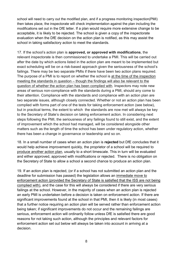school will need to carry out the modified plan, and if a progress monitoring inspection(PMI) then takes place, the inspectorate will check implementation against the plan including the modifications set out in the DfE letter. If a plan would require more extensive change to be acceptable, it is likely to be rejected. The school is given a copy of the inspectorate evaluation when the DfE decision on the action plan is notified, as this may assist the school in taking satisfactory action to meet the standards.

17. If the school's action plan is **approved, or approved with modifications**, the relevant inspectorate is then commissioned to undertake a PMI. This will be carried out after the date by which actions listed in the action plan are meant to be implemented but exact scheduling will be on a risk-based approach given the seriousness of the school's failings. There may be two separate PMIs if there have been two action plans required. The purpose of a PMI is to report on whether the school is at the time of the inspection meeting the standards in question – though the findings will also be relevant to the question of whether the action plan has been complied with. Inspectors may note new areas of serious non-compliance with the standards during a PMI, should any come to their attention. Compliance with the standards and compliance with an action plan are two separate issues, although closely connected. Whether or not an action plan has been complied with forms part of one of the tests for taking enforcement action (see below), but in practical terms, the extent to which the standards are now met will always be key to the Secretary of State's decision on taking enforcement action. In considering next steps following the PMI, the seriousness of any failings found to still exist, and the extent of improvement which the school had managed, will be considered alongside other matters such as the length of time the school has been under regulatory action, whether there has been a change in governance or leadership and so on.

18. In a small number of cases when an action plan is **rejected** but DfE concludes that it would help achieve improvement quickly, the proprietor of a school will be required to produce another action plan, usually to a short timescale. This in turn will be evaluated and either approved, approved with modifications or rejected. There is no obligation on the Secretary of State to allow a school a second chance to produce an action plan.

19. If an action plan is rejected, (or if a school has not submitted an action plan and the deadline for submission has passed) the legislation allows an immediate move to enforcement action (provided the Secretary of State is satisfied that the ISS are not being complied with), and the case for this will always be considered if there are very serious failings at the school. However, in the majority of cases when an action plan is rejected an early PMI is undertaken before a decision is taken on enforcement action. If there are significant improvements found at the school in that PMI, then it is likely (in most cases) that a further notice requiring an action plan will be served rather than enforcement action being taken; if significant improvements do not occur and the remaining failings are serious, enforcement action will ordinarily follow unless DfE is satisfied there are good reasons for not taking such action, although the principles and relevant factors for enforcement action set out below will always be taken into account in arriving at a decision.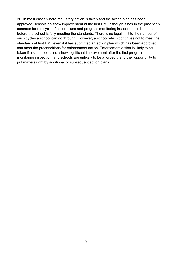20. In most cases where regulatory action is taken and the action plan has been approved, schools do show improvement at the first PMI, although it has in the past been common for the cycle of action plans and progress monitoring inspections to be repeated before the school is fully meeting the standards. There is no legal limit to the number of such cycles a school can go through. However, a school which continues not to meet the standards at first PMI, even if it has submitted an action plan which has been approved, can meet the preconditions for enforcement action. Enforcement action is likely to be taken if a school does not show significant improvement after the first progress monitoring inspection, and schools are unlikely to be afforded the further opportunity to put matters right by additional or subsequent action plans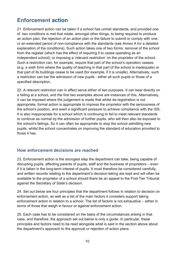# <span id="page-9-0"></span>**Enforcement action**

21. Enforcement action can be taken if a school has unmet standards, and provided one of two conditions is met that relate, amongst other things, to being required to produce an action plan, the rejection of an action plan or the failure to submit or comply with one, or an extended period of non-compliance with the standards (see Annex A for a detailed explanation of the conditions). Such action takes one of two forms: removal of the school from the register (which has the effect of requiring it to cease operating as an independent school); or imposing a 'relevant restriction' on the proprietor of the school. Such a restriction can, for example, require that part of the school's operation ceases (e.g. a sixth form where the quality of teaching in that part of the school is inadequate) or that part of its buildings cease to be used (for example, if it is unsafe). Alternatively, such a restriction can bar the admission of new pupils - either all such pupils or those of a specified description.

22. A relevant restriction can in effect serve either of two purposes. It can bear directly on a failing at a school, and the first two examples above are instances of this. Alternatively, it can be imposed where the judgement is made that whilst de-registration is not appropriate, formal action is appropriate to impress the proprietor with the seriousness of the school's position, and exert a significant pressure to achieve compliance with the ISS. It is also inappropriate for a school which is continuing to fail to meet relevant standards to continue as normal by the admission of further pupils, who will then also be exposed to the school's failings. So it can often be appropriate to stop the school admitting new pupils, whilst the school concentrates on improving the standard of education provided to those it has.

#### **How enforcement decisions are reached**

23. Enforcement action is the strongest step the department can take, being capable of disrupting pupils, affecting parents of pupils, staff and the business of proprietors – even if it is taken in the long-term interest of pupils. It must therefore be considered carefully, and written records relating to the department's decision-taking are kept and will often be available to the proprietor of a school should there be an appeal to the First-Tier Tribunal against the Secretary of State's decision.

24. Set out below are four principles that the department follows in relation to decision on enforcement action, as well as a list of the main factors it considers support taking enforcement action in relation to a school. The list of factors is not exhaustive – either in terms of those that weigh in favour or against enforcement action.

25. Each case has to be considered on the basis of the circumstances arising in that case, and therefore, the approach set out below is only a guide. In particular, these principles and factors need to be read alongside what is said in the section above about the department's approach to the approval or rejection of action plans.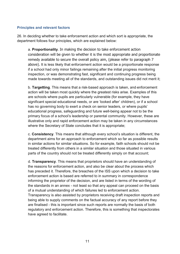#### **Principles and relevant factors**

26. In deciding whether to take enforcement action and which sort is appropriate, the department follows four principles, which are explained below:

a. **Proportionality**. In making the decision to take enforcement action consideration will be given to whether it is the most appropriate and proportionate remedy available to secure the overall policy aim, (please refer to paragraph 7 above). It is less likely that enforcement action would be a proportionate response if a school had only minor failings remaining after the initial progress monitoring inspection, or was demonstrating fast, significant and continuing progress being made towards meeting all of the standards, and outstanding issues did not merit it;

b. **Targetting**. This means that a risk-based approach is taken, and enforcement action will be taken most quickly where the greatest risks arise. Examples of this are schools where pupils are particularly vulnerable (for example, they have significant special educational needs, or are 'looked after' children), or if a school has no governing body to exert a check on senior leaders, or where pupils' educational progress, safeguarding and future well-being appear not to be the primary focus of a school's leadership or parental community. However, these are illustrative only and rapid enforcement action may be taken in any circumstances where the Secretary of State concludes that it is appropriate;

c. **Consistency**. This means that although every school's situation is different, the department aims for an approach to enforcement which so far as possible results in similar actions for similar situations. So for example, faith schools should not be treated differently from others in a similar situation and those situated in various parts of the country should not be treated differently simply on that account;

d. **Transparency**. This means that proprietors should have an understanding of the reasons for enforcement action, and also be clear about the process which has preceded it. Therefore, the breaches of the ISS upon which a decision to take enforcement action is based are referred to in summary in correspondence informing the proprietor of the decision, and are listed in terms of the wording of the standards in an annex - not least so that any appeal can proceed on the basis of a mutual understanding of which failures led to enforcement action. Transparency is also assisted by proprietors receiving draft inspection reports and being able to supply comments on the factual accuracy of any report before they are finalised - this is important since such reports are normally the basis of both regulatory and enforcement action. Therefore, this is something that inspectorates have agreed to facilitate.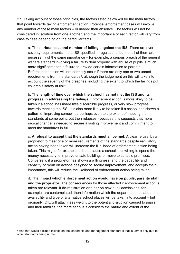27. Taking account of those principles, the factors listed below will be the main factors that point towards taking enforcement action. Potential enforcement cases will involve any number of these main factors – or indeed their absence. The factors will not be considered in isolation from one another, and the importance of each factor will vary from case to case depending on the particular facts.

a. **The seriousness and number of failings against the ISS**. There are over seventy requirements in the ISS specified in regulations, but not all of them are necessarily of the same importance – for example, a serious breach of the general welfare standard involving a failure to deal properly with abuse of pupils is much more significant than a failure to provide certain information to parents. Enforcement action will not normally occur if there are only one or two unmet requirements from the standards<sup>4</sup>, although the judgement on this will take into account the severity of the breaches, including the extent to which the failings put children's safety at risk;

b. **The length of time over which the school has not met the ISS and its progress in addressing the failings**. Enforcement action is more likely to be taken if a school has made little discernible progress, or very slow progress, towards meeting the ISS. It is also more likely to be taken if a school has shown a pattern of improving somewhat, perhaps even to the extent of meeting the standards at some point, but then relapses - because this suggests that more radical change is needed to secure a lasting improvement and commitment to meet the standards in full;

c. **A refusal to accept that the standards must all be met**. A clear refusal by a proprietor to meet one or more requirements of the standards despite regulatory action having been taken will increase the likelihood of enforcement action being taken. This might, for example, arise because a school is unwilling to spend the money necessary to improve unsafe buildings or move to suitable premises. Conversely, if a proprietor has shown a willingness, and the capability and capacity, to work on actions designed to secure improvement, and accepts their importance, this will reduce the likelihood of enforcement action being taken;

d. **The impact which enforcement action would have on pupils, parents staff and the proprietor.** The consequences for those affected if enforcement action is taken are relevant. If de-registration or a bar on new pupil admissions, for example, are contemplated, then information which the department has about the availability and type of alternative school places will be taken into account – but ordinarily, DfE will attach less weight to the potential disruption caused to pupils and their families, the more serious it considers the nature and extent of the

-

<span id="page-11-0"></span><sup>4</sup> And that would exclude failings on the leadership and management standard if that is unmet only due to other standards being unmet.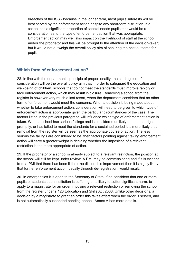breaches of the ISS - because in the longer term, most pupils' interests will be best served by the enforcement action despite any short-term disruption. If a school has a significant proportion of special needs pupils that would be a consideration as to the type of enforcement action that was appropriate. Enforcement action may well also impact on the livelihood of staff at the school and/or the proprietor and this will be brought to the attention of the decision-taker; but it would not outweigh the overall policy aim of securing the best outcome for pupils.

#### **Which form of enforcement action?**

28. In line with the department's principle of proportionality, the starting point for consideration will be the overall policy aim that in order to safeguard the education and well-being of children, schools that do not meet the standards must improve rapidly or face enforcement action, which may result in closure. Removing a school from the register is however very much a last resort, when the department considers that no other form of enforcement would meet the concerns. When a decision is being made about whether to take enforcement action, consideration will need to be given to which type of enforcement action is appropriate given the particular circumstances of the case. The factors listed in the previous paragraph will influence which type of enforcement action is taken. When a school has serious failings and is considered unlikely to put them right promptly, or has failed to meet the standards for a sustained period it is more likely that removal from the register will be seen as the appropriate course of action. The less serious the failings are considered to be, then factors pointing against taking enforcement action will carry a greater weight in deciding whether the imposition of a relevant restriction is the more appropriate of action.

29. If the proprietor of a school is already subject to a relevant restriction, the position at the school will still be kept under review. A PMI may be commissioned and if it is evident from a PMI that there has been little or no discernible improvement then it is highly likely that further enforcement action, usually through de-registration, would result.

30. In emergencies it is open to the Secretary of State, if he considers that one or more pupils or students at an institution is suffering or is likely to suffer significant harm, to apply to a magistrate for an order imposing a relevant restriction or removing the school from the register under s.120 Education and Skills Act 2008. Unlike other decisions, a decision by a magistrate to grant an order this takes effect when the order is served, and is not automatically suspended pending appeal. Annex A has more details.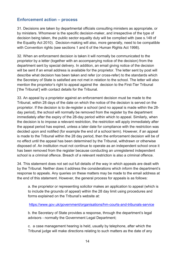#### **Enforcement action – process**

31. Decisions are taken by departmental officials consulting ministers as appropriate, or by ministers. Whomever is the specific decision-maker, and irrespective of the type of decision being taken, the public sector equality duty will be complied with (see s.149 of the Equality Act 2010). Decision-making will also, more generally, need to be compatible with Convention rights (see sections 1 and 6 of the Human Rights Act 1998).

32. When an enforcement decision is taken it will normally be communicated to the proprietor by a letter (together with an accompanying notice of the decision) from the department sent by special delivery. In addition, an email giving notice of the decision will be sent if an email address is available for the proprietor. The letter sent by post will describe what decision has been taken and refer (or cross-refer) to the standards which the Secretary of State is satisfied are not met in relation to the school. The letter will also mention the proprietor's right to appeal against the decision to the First-Tier Tribunal ['the Tribunal'] with contact details for the Tribunal.

33. An appeal by a proprietor against an enforcement decision must be made to the Tribunal, within 28 days of the date on which the notice of the decision is served on the proprietor. If the decision is to de-register a school (and no appeal is made within the 28 day period), the school will normally be removed from the register by the department immediately after the expiry of the 28-day period within which to appeal. Similarly, when the decision is to impose a relevant restriction, the restriction will apply immediately after the appeal period has expired, unless a later date for compliance with the restriction was decided upon and notified (for example the end of a school term). However, if an appeal is made to the Tribunal within the 28 day period, then the enforcement decision will be of no effect until the appeal has been determined by the Tribunal, withdrawn or otherwise disposed of. An institution must not continue to operate as an independent school once it has been removed from the register because conducting an unregistered independent school is a criminal offence. Breach of a relevant restriction is also a criminal offence.

34. This statement does not set out full details of the way in which appeals are dealt with by the Tribunal. Neither does it address the considerations which inform the department's response to appeals. Any queries on these matters may be made to the email address at the end of this statement. However, the general process for appeals is as follows:

a. the proprietor or representing solicitor makes an application to appeal (which is to include the grounds of appeal) within the 28 day limit using procedures and forms explained on the Tribunal's website at:

<https://www.gov.uk/government/organisations/hm-courts-and-tribunals-service>

b. the Secretary of State provides a response, through the department's legal advisors - normally the Government Legal Department;

c. a case management hearing is held, usually by telephone, after which the Tribunal judge will make directions relating to such matters as the date of any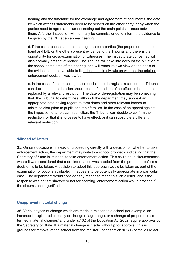hearing and the timetable for the exchange and agreement of documents, the date by which witness statements need to be served on the other party, or by when the parties need to agree a document setting out the main points in issue between them. A further inspection will normally be commissioned to inform the evidence to be given by the DfE at an appeal hearing;

d. if the case reaches an oral hearing then both parties (the proprietor on the one hand and DfE on the other) present evidence to the Tribunal and there is the opportunity for cross-examination of witnesses. The inspectorate concerned will also normally present evidence. The Tribunal will take into account the situation at the school at the time of the hearing, and will reach its own view on the basis of the evidence made available to it: it does not simply rule on whether the original enforcement decision was lawful.

e. in the case of an appeal against a decision to de-register a school, the Tribunal can decide that the decision should be confirmed, be of no effect or instead be replaced by a relevant restriction. The date of de-registration may be something that the Tribunal to determines, although the department may suggest an appropriate date having regard to term dates and other relevant factors to minimise disruption to pupils and their families. In the case of an appeal against the imposition of a relevant restriction, the Tribunal can decide to confirm the restriction, or that it is to cease to have effect, or it can substitute a different relevant restriction.

#### **'Minded to' letters**

35. On rare occasions, instead of proceeding directly with a decision on whether to take enforcement action, the department may write to a school proprietor indicating that the Secretary of State is 'minded' to take enforcement action. This could be in circumstances where it was considered that more information was needed from the proprietor before a decision is to be taken. A decision to adopt this approach would be taken as part of the examination of options available, if it appears to be potentially appropriate in a particular case. The department would consider any response made to such a letter, and if the response was not satisfactory or not forthcoming, enforcement action would proceed if the circumstances justified it.

#### **Unapproved material change**

36. Various types of change which are made in relation to a school (for example, an increase in registered capacity or change of age-range, or a change of proprietor) are termed 'material changes' and under s.162 of the Education Act 2002 require approval by the Secretary of State. If a material change is made without prior approval, this is grounds for removal of the school from the register under section 162(1) of the 2002 Act.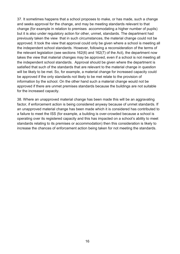37. It sometimes happens that a school proposes to make, or has made, such a change and seeks approval for the change, and may be meeting standards relevant to that change (for example in relation to premises accommodating a higher number of pupils) but it is also under regulatory action for other, unmet, standards. The department had previously taken the view that in such circumstances, the material change could not be approved. It took the view that approval could only be given where a school is meeting all the independent school standards. However, following a reconsideration of the terms of the relevant legislation (see sections 162(6) and 162(7) of the Act), the department now takes the view that material changes may be approved, even if a school is not meeting all the independent school standards. Approval should be given where the department is satisfied that such of the standards that are relevant to the material change in question will be likely to be met. So, for example, a material change for increased capacity could be approved if the only standards not likely to be met relate to the provision of information by the school. On the other hand such a material change would not be approved if there are unmet premises standards because the buildings are not suitable for the increased capacity.

38. Where an unapproved material change has been made this will be an aggravating factor, if enforcement action is being considered anyway because of unmet standards. If an unapproved material change has been made which it is considered has contributed to a failure to meet the ISS (for example, a building is over-crowded because a school is operating over its registered capacity and this has impacted on a school's ability to meet standards relating to its premises or accommodation) then this consideration is likely to increase the chances of enforcement action being taken for not meeting the standards.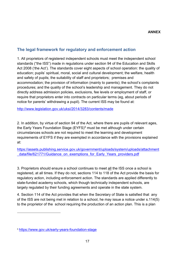### **The legal framework for regulatory and enforcement action**

1. All proprietors of registered independent schools must meet the independent school standards ("the ISS") made in regulations under section 94 of the Education and Skills Act 2008 ('the Act'). The standards cover eight aspects of school operation: the quality of education; pupils' spiritual, moral, social and cultural development; the welfare, health and safety of pupils; the suitability of staff and proprietors; premises and accommodation; the provision of information (mainly to parents); the school's complaints procedures; and the quality of the school's leadership and management. They do not directly address admission policies, exclusions, fee levels or employment of staff, or require that proprietors enter into contracts on particular terms (eg, about periods of notice for parents' withdrawing a pupil). The current ISS may be found at:

<http://www.legislation.gov.uk/uksi/2014/3283/contents/made>

2. In addition, by virtue of section 94 of the Act, where there are pupils of relevant ages, the Early Years Foundation Stage (EYFS)<sup>[5](#page-16-0)</sup> must be met although under certain circumstances schools are not required to meet the learning and development requirements of EYFS if they are exempted in accordance with the provisions explained at:

[https://assets.publishing.service.gov.uk/government/uploads/system/uploads/attachment](https://assets.publishing.service.gov.uk/government/uploads/system/uploads/attachment_data/file/621771/Guidance_on_exemptions_for_Early_Years_providers.pdf) [\\_data/file/621771/Guidance\\_on\\_exemptions\\_for\\_Early\\_Years\\_providers.pdf](https://assets.publishing.service.gov.uk/government/uploads/system/uploads/attachment_data/file/621771/Guidance_on_exemptions_for_Early_Years_providers.pdf)

3. Proprietors should ensure a school continues to meet all the ISS once a school is registered, at all times. If they do not, sections 114 to 118 of the Act provide the basis for regulatory action, including enforcement action. The standards are applied differently to state-funded academy schools, which though technically independent schools, are largely regulated by their funding agreements and operate in the state system.

4. Section 114 of the Act provides that when the Secretary of State is satisfied that any of the ISS are not being met in relation to a school, he may issue a notice under s.114(5) to the proprietor of the school requiring the production of an action plan. This is a plan

-

<span id="page-16-0"></span><sup>5</sup> <https://www.gov.uk/early-years-foundation-stage>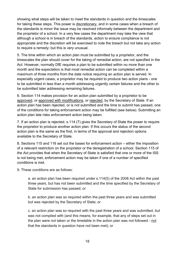showing what steps will be taken to meet the standards in question and the timescales for taking these steps. This power is discretionary, and in some cases when a breach of the standards is minor the issue may be resolved informally between the department and the proprietor of a school. In a very few cases the department may take the view that although a school is in breach of the standards, action to ensure compliance is not appropriate and the discretion will be exercised to note the breach but not take any action to require a remedy; but this is very unusual.

5. The time within which an action plan must be submitted by a proprietor, and the timescales the plan should cover for the taking of remedial action, are not specified in the Act. However, normally DfE requires a plan to be submitted within no more than one month and the expectation is that most remedial action can be completed within a maximum of three months from the date notice requiring an action plan is served. In especially urgent cases, a proprietor may be required to produce two action plans - one to be submitted in less than a month addressing urgently certain failures and the other to be submitted later addressing remaining failures.

6. Section 114 makes provision for an action plan submitted by a proprietor to be approved, or approved with modifications, or rejected, by the Secretary of State. If an action plan has been rejected, or is not submitted and the time to submit has passed, one of the conditions for taking enforcement action may be fulfilled (see below). Submitting an action plan late risks enforcement action being taken.

7. If an action plan is rejected, s.114 (7) gives the Secretary of State the power to require the proprietor to produce another action plan. If this occurs the status of the second action plan is the same as the first, in terms of the approval and rejection options available to the Secretary of State.

8. Sections 115 and 116 set out the bases for enforcement action – either the imposition of a relevant restriction on the proprietor or the deregistration of a school. Section 115 of the Act provides that when the Secretary of State is satisfied that one or more of the ISS is not being met, enforcement action may be taken if one of a number of specified conditions is met.

9. These conditions are as follows:

a. an action plan has been required under s.114(5) of the 2008 Act within the past three years, but has not been submitted and the time specified by the Secretary of State for submission has passed; or

b. an action plan was so required within the past three years and was submitted but was rejected by the Secretary of State; or

c. an action plan was so required with the past three years and was submitted, but was not complied with (and this means, for example, that any of steps set out in the plan were not taken or the timetable in the action plan was not followed - not that the standards in question have not been met); or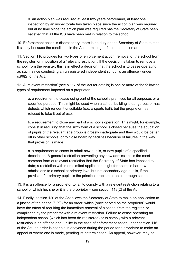d. an action plan was required at least two years beforehand, at least one inspection by an inspectorate has taken place since the action plan was required, but at no time since the action plan was required has the Secretary of State been satisfied that all the ISS have been met in relation to the school.

10. Enforcement action is discretionary; there is no duty on the Secretary of State to take it simply because the conditions in the Act permitting enforcement action are met.

11. Section 116 provides for two types of enforcement action: removal of the school from the register, or imposition of a 'relevant restriction'. If the decision is taken to remove a school from the register, this is in effect a decision that the school is to cease operating as such, since conducting an unregistered independent school is an offence - under s.96(2) of the Act.

12. A 'relevant restriction' (see s.117 of the Act for details) is one or more of the following types of requirement imposed on a proprietor:

a. a requirement to cease using part of the school's premises for all purposes or a specified purpose. This might be used when a school building is dangerous or has defects which render it unsuitable (e.g. a sports hall), but the proprietor has refused to take it out of use;

b. a requirement to close any part of a school's operation. This might, for example, consist in requiring that the sixth form of a school is closed because the education of pupils of the relevant age group is grossly inadequate and they would be better off in other schools, or to close boarding facilities because of failures in the way that provision is made;

c. a requirement to cease to admit new pupils, or new pupils of a specified description. A general restriction preventing any new admissions is the most common form of relevant restriction that the Secretary of State has imposed to date; a restriction with more limited application might for example bar new admissions to a school at primary level but not secondary-age pupils, if the provision for primary pupils is the principal problem at an all-through school.

13. It is an offence for a proprietor to fail to comply with a relevant restriction relating to a school of which he, she or it is the proprietor – see section 118(2) of the Act.

14. Finally, section 120 of the Act allows the Secretary of State to make an application to a justice of the peace ("JP")) for an order, which (once served on the proprietor) would have the effect of requiring the immediate removal of a school from the register, or compliance by the proprietor with a relevant restriction. Failure to cease operating an independent school (which has been de-registered) or to comply with a relevant restriction is an offence and, unlike in the case of enforcement action under section 116 of the Act, an order is not held in abeyance during the period for a proprietor to make an appeal or where one is made, pending its determination. An appeal, however, may be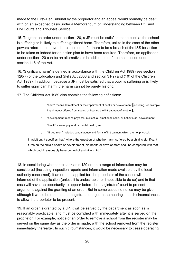made to the First-Tier Tribunal by the proprietor and an appeal would normally be dealt with on an expedited basis under a Memorandum of Understanding between DfE and HM Courts and Tribunals Service.

15. To grant an order under section 120, a JP must be satisfied that a pupil at the school is suffering or is likely to suffer significant harm. Therefore, unlike in the case of the other powers referred to above, there is no need for there to be a breach of the ISS for action to be taken or indeed for an action plan to have been required. Therefore, an application under section 120 can be an alternative or in addition to enforcement action under section 116 of the Act.

16. 'Significant harm' is defined in accordance with the Children Act 1989 (see section 120(7) of the Education and Skills Act 2008 and section 31(9) and (10) of the Children Act 1989). In addition, because a JP must be satisfied that a pupil is suffering or is likely to suffer significant harm, the harm cannot be purely historic.

17. The Children Act 1989 also contains the following definitions:

- o "harm" means ill-treatment or the impairment of health or development **[**including, for example, impairment suffered from seeing or hearing the ill-treatment of another**]**;
- o "development" means physical, intellectual, emotional, social or behavioural development;
- o "health" means physical or mental health; and
- o "ill-treatment" includes sexual abuse and forms of ill-treatment which are not physical.

In addition, it specifies that " where the question of whether harm suffered by a child is significant turns on the child's health or development, his health or development shall be compared with that which could reasonably be expected of a similar child."

18. In considering whether to seek an s.120 order, a range of information may be considered (including inspection reports and information made available by the local authority concerned). If an order is applied for, the proprietor of the school will be informed of the application (unless it is undesirable, or impossible to do so) and in that case will have the opportunity to appear before the magistrates' court to present arguments against the granting of an order. But in some cases no notice may be given – although it would be open to the magistrate to adjourn the hearing in such circumstances to allow the proprietor to be present.

19. If an order is granted by a JP, it will be served by the department as soon as is reasonably practicable, and must be complied with immediately after it is served on the proprietor. For example, notice of an order to remove a school from the register may be served on the same day as the order is made, with the school removed from the register immediately thereafter. In such circumstances, it would be necessary to cease operating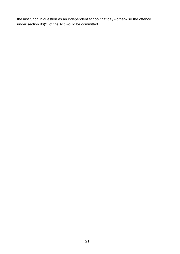the institution in question as an independent school that day - otherwise the offence under section 96(2) of the Act would be committed.